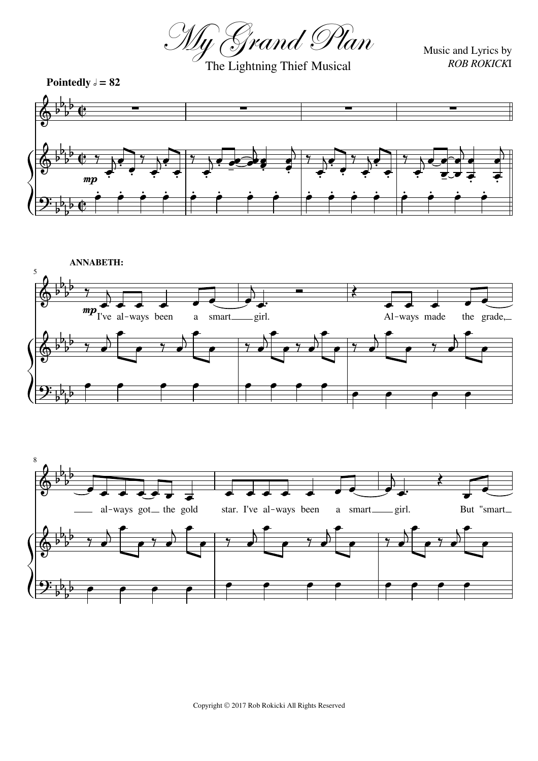

The Lightning Thief Musical

Music and Lyrics by *ROB ROKICK*I



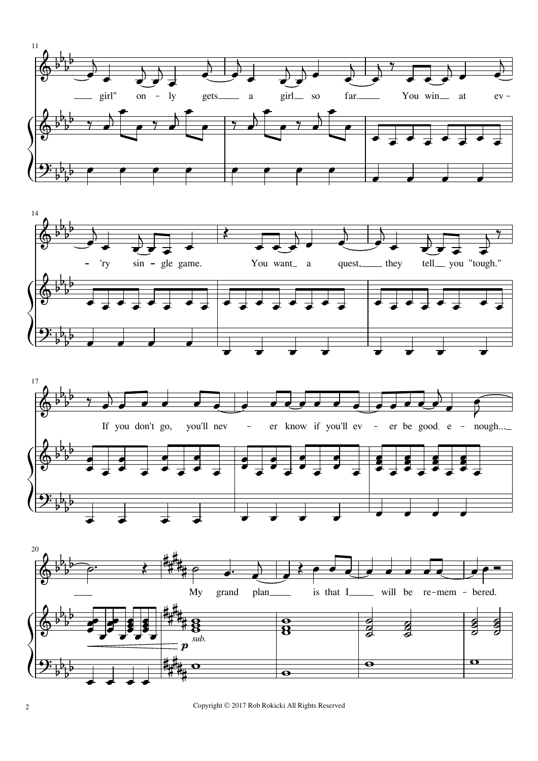





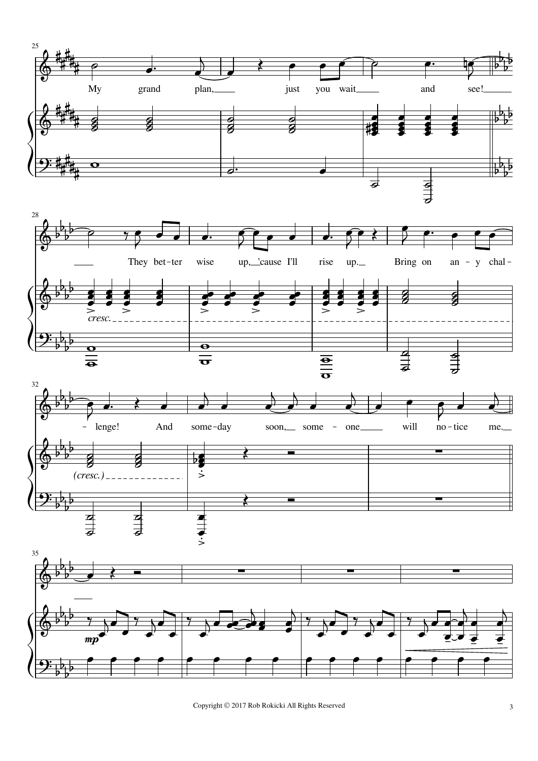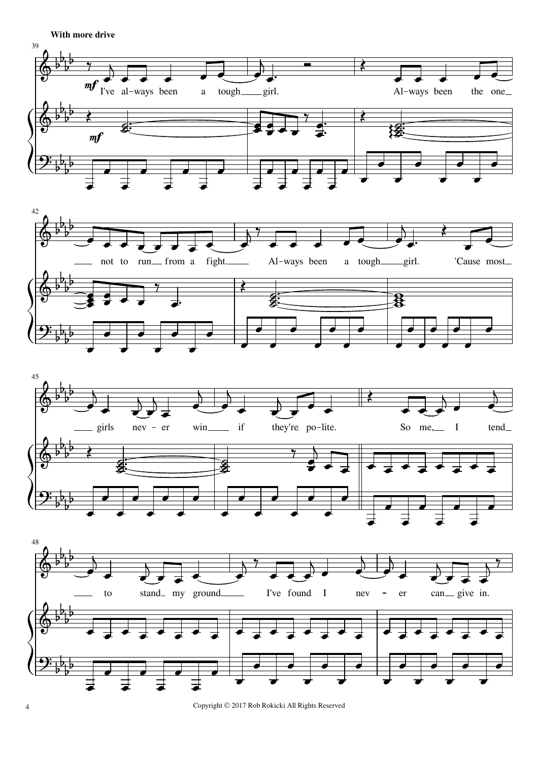





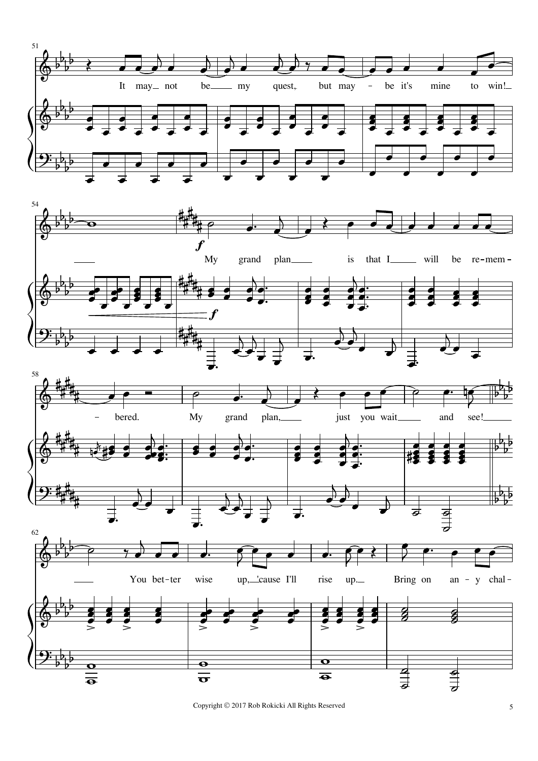







 $\,$  Copyright  $\odot$  2017 Rob Rokicki All Rights Reserved  $\,$  5  $\,$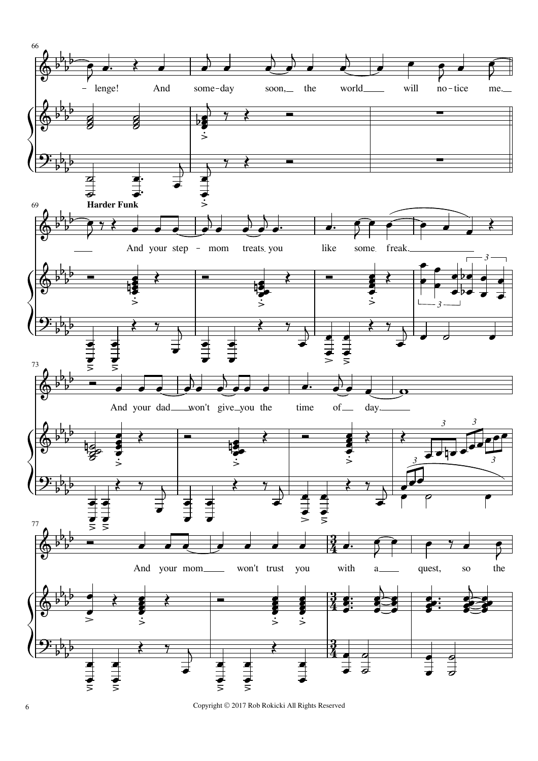

6 Copyright © 2017 Rob Rokicki All Rights Reserved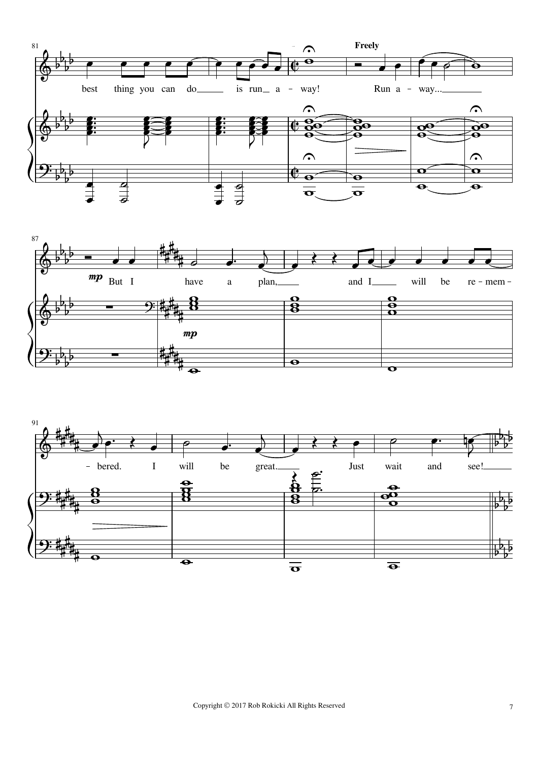



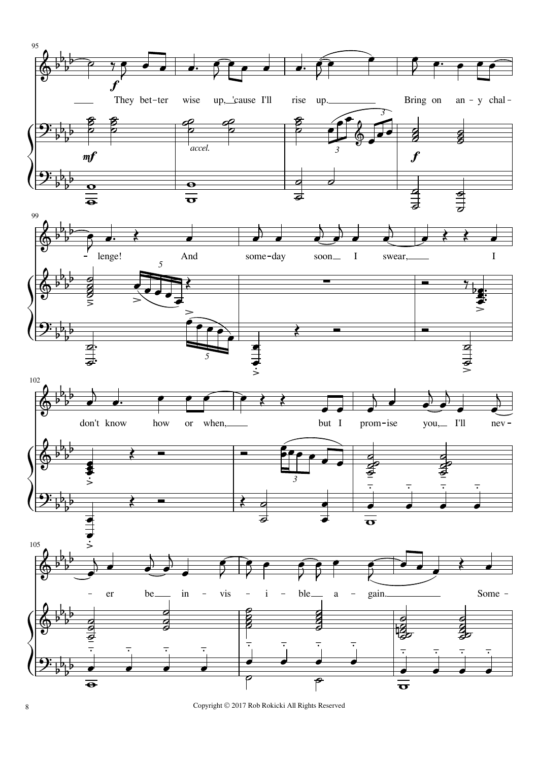